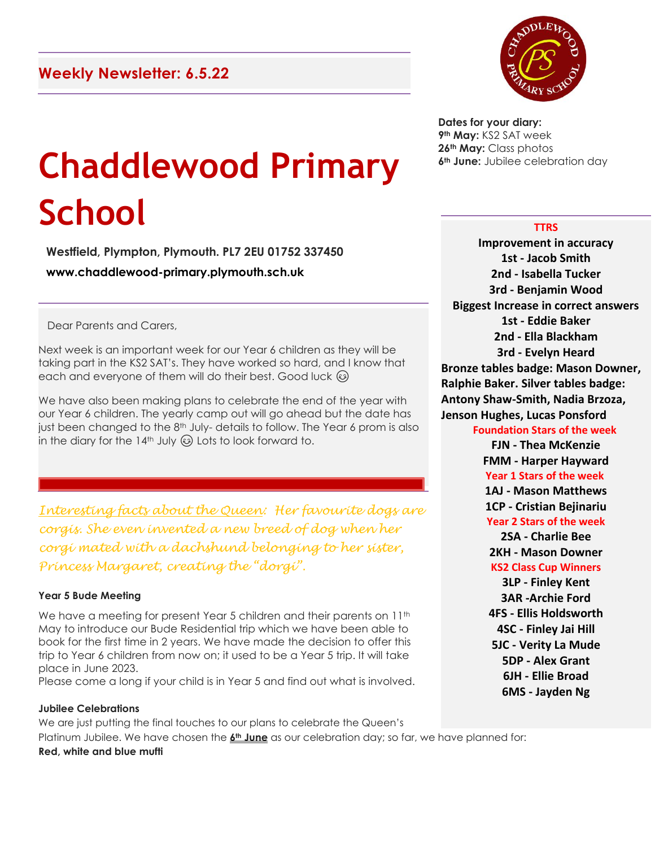# **Chaddlewood Primary School**

**Westfield, Plympton, Plymouth. PL7 2EU 01752 337450 www.chaddlewood-primary.plymouth.sch.uk**

Dear Parents and Carers,

Next week is an important week for our Year 6 children as they will be taking part in the KS2 SAT's. They have worked so hard, and I know that each and everyone of them will do their best. Good luck  $\circledcirc$ 

We have also been making plans to celebrate the end of the year with our Year 6 children. The yearly camp out will go ahead but the date has just been changed to the 8<sup>th</sup> July-details to follow. The Year 6 prom is also in the diary for the 14<sup>th</sup> July  $\odot$  Lots to look forward to.

*Interesting facts about the Queen: Her favourite dogs are corgis. She even invented a new breed of dog when her corgi mated with a dachshund belonging to her sister, Princess Margaret, creating the "dorgi".*

#### **Year 5 Bude Meeting**

We have a meeting for present Year 5 children and their parents on 11<sup>th</sup> May to introduce our Bude Residential trip which we have been able to book for the first time in 2 years. We have made the decision to offer this trip to Year 6 children from now on; it used to be a Year 5 trip. It will take place in June 2023.

Please come a long if your child is in Year 5 and find out what is involved.

**Jubilee Celebrations** We are just putting the final touches to our plans to celebrate the Queen's Platinum Jubilee. We have chosen the **6th June** as our celebration day; so far, we have planned for: **Red, white and blue mufti**



**Dates for your diary: th May:** KS2 SAT week **th May:** Class photos **th June:** Jubilee celebration day

## **TTRS**

**Improvement in accuracy 1st - Jacob Smith 2nd - Isabella Tucker 3rd - Benjamin Wood Biggest Increase in correct answers 1st - Eddie Baker 2nd - Ella Blackham 3rd - Evelyn Heard Bronze tables badge: Mason Downer, Ralphie Baker. Silver tables badge: Antony Shaw-Smith, Nadia Brzoza, Jenson Hughes, Lucas Ponsford** 

## **Foundation Stars of the week**

**FJN - Thea McKenzie FMM - Harper Hayward Year 1 Stars of the week 1AJ - Mason Matthews 1CP - Cristian Bejinariu Year 2 Stars of the week**

**2SA - Charlie Bee 2KH - Mason Downer KS2 Class Cup Winners**

**3LP - Finley Kent 3AR -Archie Ford 4FS - Ellis Holdsworth 4SC - Finley Jai Hill 5JC - Verity La Mude 5DP - Alex Grant 6JH - Ellie Broad 6MS - Jayden Ng**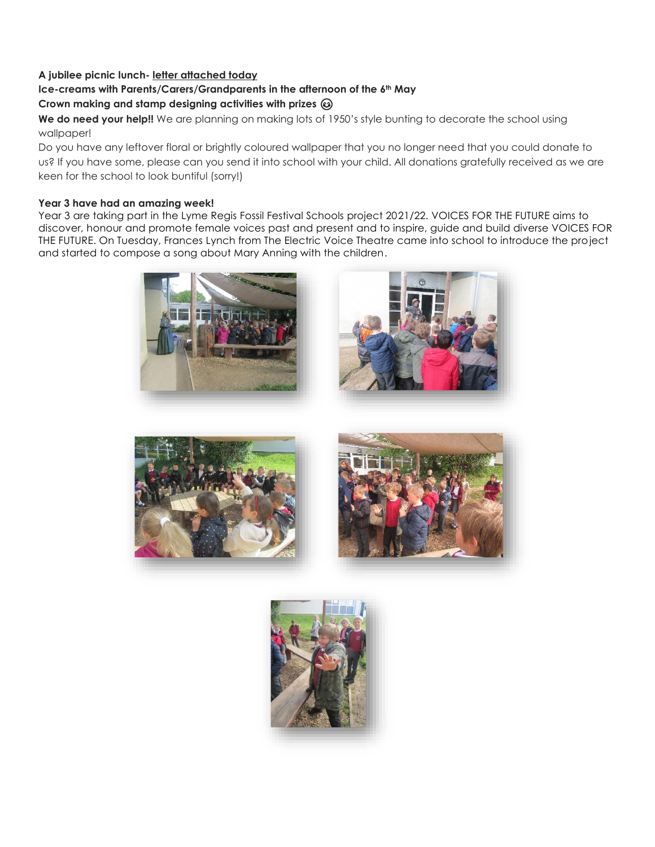# **A jubilee picnic lunch- letter attached today**

# **Ice-creams with Parents/Carers/Grandparents in the afternoon of the 6th May**

# **Crown making and stamp designing activities with prizes**

We do need your help!! We are planning on making lots of 1950's style bunting to decorate the school using wallpaper!

Do you have any leftover floral or brightly coloured wallpaper that you no longer need that you could donate to us? If you have some, please can you send it into school with your child. All donations gratefully received as we are keen for the school to look buntiful (sorry!)

## **Year 3 have had an amazing week!**

Year 3 are taking part in the Lyme Regis Fossil Festival Schools project 2021/22. VOICES FOR THE FUTURE aims to discover, honour and promote female voices past and present and to inspire, guide and build diverse VOICES FOR THE FUTURE. On Tuesday, Frances Lynch from The Electric Voice Theatre came into school to introduce the project and started to compose a song about Mary Anning with the children.







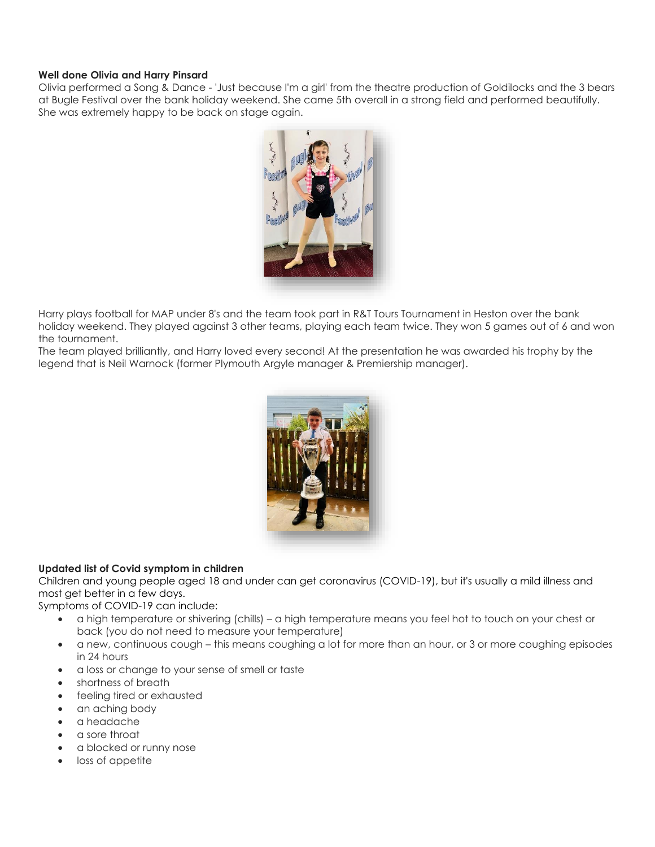### **Well done Olivia and Harry Pinsard**

Olivia performed a Song & Dance - 'Just because I'm a girl' from the theatre production of Goldilocks and the 3 bears at Bugle Festival over the bank holiday weekend. She came 5th overall in a strong field and performed beautifully. She was extremely happy to be back on stage again.



Harry plays football for MAP under 8's and the team took part in R&T Tours Tournament in Heston over the bank holiday weekend. They played against 3 other teams, playing each team twice. They won 5 games out of 6 and won the tournament.

The team played brilliantly, and Harry loved every second! At the presentation he was awarded his trophy by the legend that is Neil Warnock (former Plymouth Argyle manager & Premiership manager).



# **Updated list of Covid symptom in children**

Children and young people aged 18 and under can get coronavirus (COVID-19), but it's usually a mild illness and most get better in a few days.

Symptoms of COVID-19 can include:

- a high temperature or shivering (chills) a high temperature means you feel hot to touch on your chest or back (you do not need to measure your temperature)
- a new, continuous cough this means coughing a lot for more than an hour, or 3 or more coughing episodes in 24 hours
- a loss or change to your sense of smell or taste
- shortness of breath
- feeling tired or exhausted
- an aching body
- a headache
- a sore throat
- a blocked or runny nose
- loss of appetite